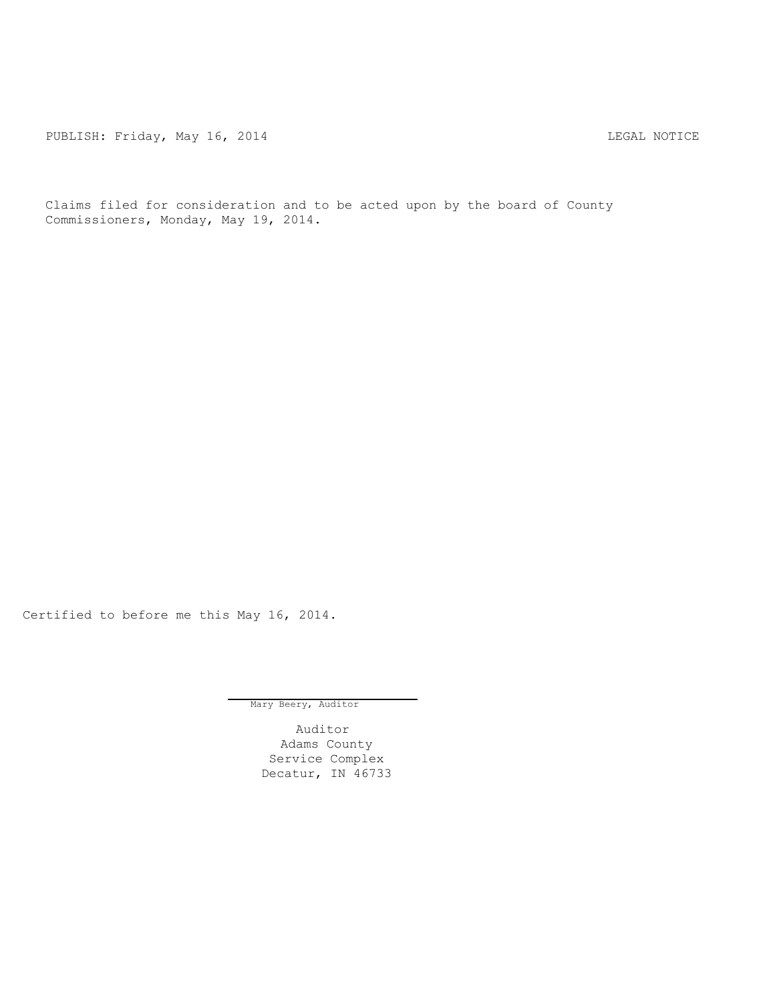PUBLISH: Friday, May 16, 2014 **LEGAL ROTICE** 

Claims filed for consideration and to be acted upon by the board of County Commissioners, Monday, May 19, 2014.

Certified to before me this May 16, 2014.

Mary Beery, Auditor

Auditor Adams County Service Complex Decatur, IN 46733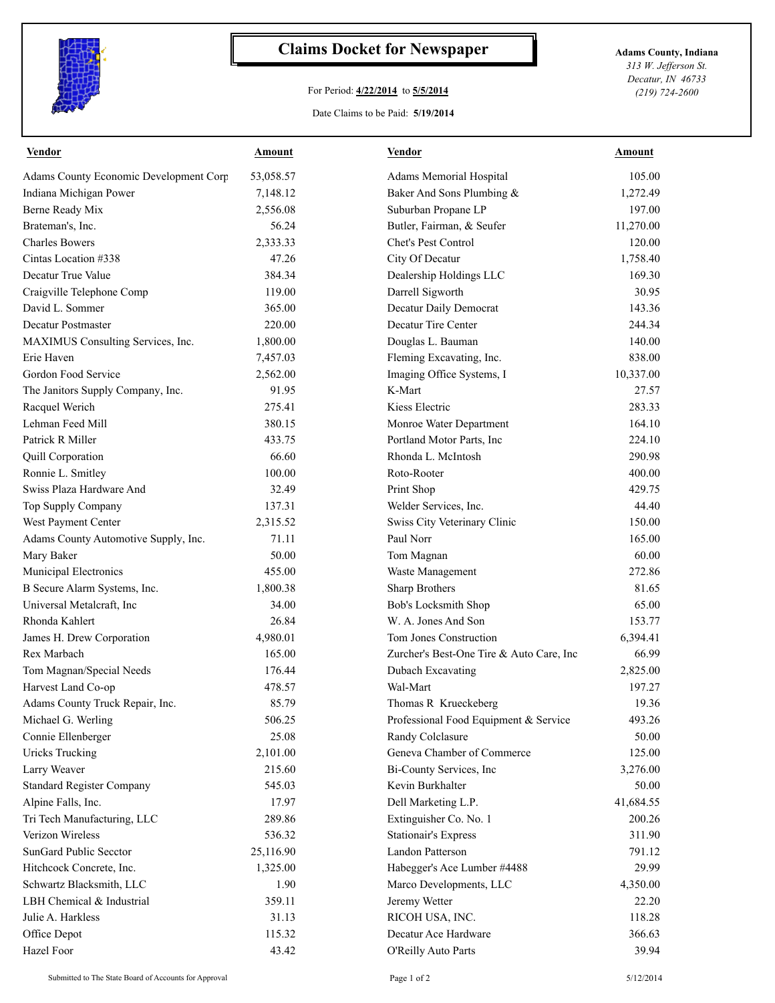

## **Claims Docket for Newspaper Adams County, Indiana**

## For Period: **4/22/2014** to **5/5/2014**

*313 W. Jefferson St. Decatur, IN 46733 (219) 724-2600*

## Date Claims to be Paid: **5/19/2014**

| <b>Vendor</b>                          | Amount    | <b>Vendor</b>                            | Amount    |
|----------------------------------------|-----------|------------------------------------------|-----------|
| Adams County Economic Development Corp | 53,058.57 | Adams Memorial Hospital                  | 105.00    |
| Indiana Michigan Power                 | 7,148.12  | Baker And Sons Plumbing &                | 1,272.49  |
| Berne Ready Mix                        | 2,556.08  | Suburban Propane LP                      | 197.00    |
| Brateman's, Inc.                       | 56.24     | Butler, Fairman, & Seufer                | 11,270.00 |
| <b>Charles Bowers</b>                  | 2,333.33  | Chet's Pest Control                      | 120.00    |
| Cintas Location #338                   | 47.26     | City Of Decatur                          | 1,758.40  |
| Decatur True Value                     | 384.34    | Dealership Holdings LLC                  | 169.30    |
| Craigville Telephone Comp              | 119.00    | Darrell Sigworth                         | 30.95     |
| David L. Sommer                        | 365.00    | Decatur Daily Democrat                   | 143.36    |
| Decatur Postmaster                     | 220.00    | Decatur Tire Center                      | 244.34    |
| MAXIMUS Consulting Services, Inc.      | 1,800.00  | Douglas L. Bauman                        | 140.00    |
| Erie Haven                             | 7,457.03  | Fleming Excavating, Inc.                 | 838.00    |
| Gordon Food Service                    | 2,562.00  | Imaging Office Systems, I                | 10,337.00 |
| The Janitors Supply Company, Inc.      | 91.95     | K-Mart                                   | 27.57     |
| Racquel Werich                         | 275.41    | Kiess Electric                           | 283.33    |
| Lehman Feed Mill                       | 380.15    | Monroe Water Department                  | 164.10    |
| Patrick R Miller                       | 433.75    | Portland Motor Parts, Inc.               | 224.10    |
| Quill Corporation                      | 66.60     | Rhonda L. McIntosh                       | 290.98    |
| Ronnie L. Smitley                      | 100.00    | Roto-Rooter                              | 400.00    |
| Swiss Plaza Hardware And               | 32.49     | Print Shop                               | 429.75    |
| Top Supply Company                     | 137.31    | Welder Services, Inc.                    | 44.40     |
| West Payment Center                    | 2,315.52  | Swiss City Veterinary Clinic             | 150.00    |
| Adams County Automotive Supply, Inc.   | 71.11     | Paul Norr                                | 165.00    |
| Mary Baker                             | 50.00     | Tom Magnan                               | 60.00     |
| Municipal Electronics                  | 455.00    | Waste Management                         | 272.86    |
| B Secure Alarm Systems, Inc.           | 1,800.38  | Sharp Brothers                           | 81.65     |
| Universal Metalcraft, Inc.             | 34.00     | Bob's Locksmith Shop                     | 65.00     |
| Rhonda Kahlert                         | 26.84     | W. A. Jones And Son                      | 153.77    |
| James H. Drew Corporation              | 4,980.01  | Tom Jones Construction                   | 6,394.41  |
| Rex Marbach                            | 165.00    | Zurcher's Best-One Tire & Auto Care, Inc | 66.99     |
| Tom Magnan/Special Needs               | 176.44    | Dubach Excavating                        | 2,825.00  |
| Harvest Land Co-op                     | 478.57    | Wal-Mart                                 | 197.27    |
| Adams County Truck Repair, Inc.        | 85.79     | Thomas R Krueckeberg                     | 19.36     |
| Michael G. Werling                     | 506.25    | Professional Food Equipment & Service    | 493.26    |
| Connie Ellenberger                     | 25.08     | Randy Colclasure                         | 50.00     |
| <b>Uricks Trucking</b>                 | 2,101.00  | Geneva Chamber of Commerce               | 125.00    |
| Larry Weaver                           | 215.60    | Bi-County Services, Inc                  | 3,276.00  |
| <b>Standard Register Company</b>       | 545.03    | Kevin Burkhalter                         | 50.00     |
| Alpine Falls, Inc.                     | 17.97     | Dell Marketing L.P.                      | 41,684.55 |
| Tri Tech Manufacturing, LLC            | 289.86    | Extinguisher Co. No. 1                   | 200.26    |
| Verizon Wireless                       | 536.32    | <b>Stationair's Express</b>              | 311.90    |
| SunGard Public Secctor                 | 25,116.90 | Landon Patterson                         | 791.12    |
| Hitchcock Concrete, Inc.               | 1,325.00  | Habegger's Ace Lumber #4488              | 29.99     |
| Schwartz Blacksmith, LLC               | 1.90      | Marco Developments, LLC                  | 4,350.00  |
| LBH Chemical & Industrial              | 359.11    | Jeremy Wetter                            | 22.20     |
| Julie A. Harkless                      | 31.13     | RICOH USA, INC.                          | 118.28    |
| Office Depot                           | 115.32    | Decatur Ace Hardware                     | 366.63    |
| Hazel Foor                             | 43.42     | O'Reilly Auto Parts                      | 39.94     |